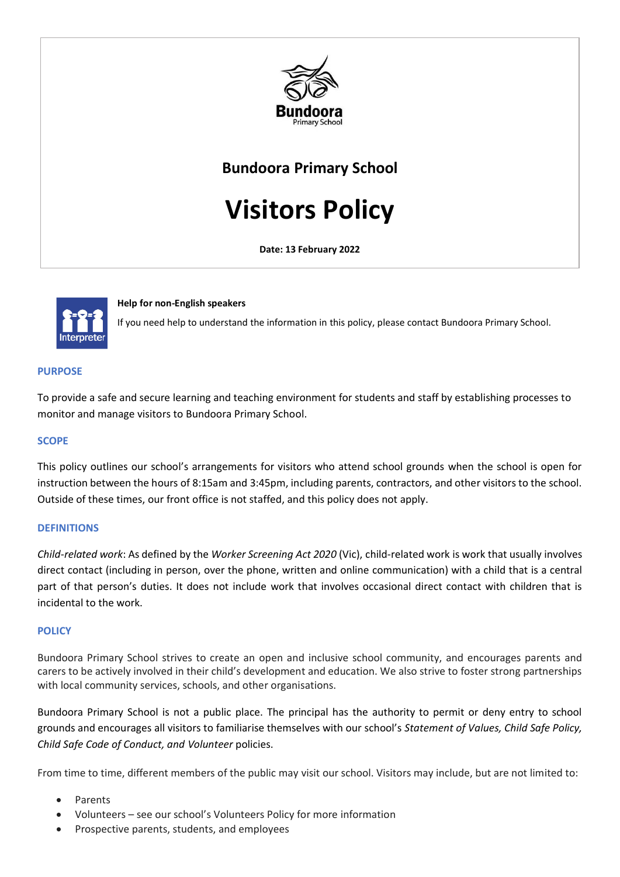

# **Bundoora Primary School**

**Visitors Policy**

**Date: 13 February 2022**



## **Help for non-English speakers**

If you need help to understand the information in this policy, please contact Bundoora Primary School.

## **PURPOSE**

To provide a safe and secure learning and teaching environment for students and staff by establishing processes to monitor and manage visitors to Bundoora Primary School.

#### **SCOPE**

This policy outlines our school's arrangements for visitors who attend school grounds when the school is open for instruction between the hours of 8:15am and 3:45pm, including parents, contractors, and other visitors to the school. Outside of these times, our front office is not staffed, and this policy does not apply.

## **DEFINITIONS**

*Child-related work*: As defined by the *Worker Screening Act 2020* (Vic), child-related work is work that usually involves direct contact (including in person, over the phone, written and online communication) with a child that is a central part of that person's duties. It does not include work that involves occasional direct contact with children that is incidental to the work.

#### **POLICY**

Bundoora Primary School strives to create an open and inclusive school community, and encourages parents and carers to be actively involved in their child's development and education. We also strive to foster strong partnerships with local community services, schools, and other organisations.

Bundoora Primary School is not a public place. The principal has the authority to permit or deny entry to school grounds and encourages all visitors to familiarise themselves with our school's *Statement of Values, Child Safe Policy, Child Safe Code of Conduct, and Volunteer* policies.

From time to time, different members of the public may visit our school. Visitors may include, but are not limited to:

- **Parents**
- Volunteers see our school's Volunteers Policy for more information
- Prospective parents, students, and employees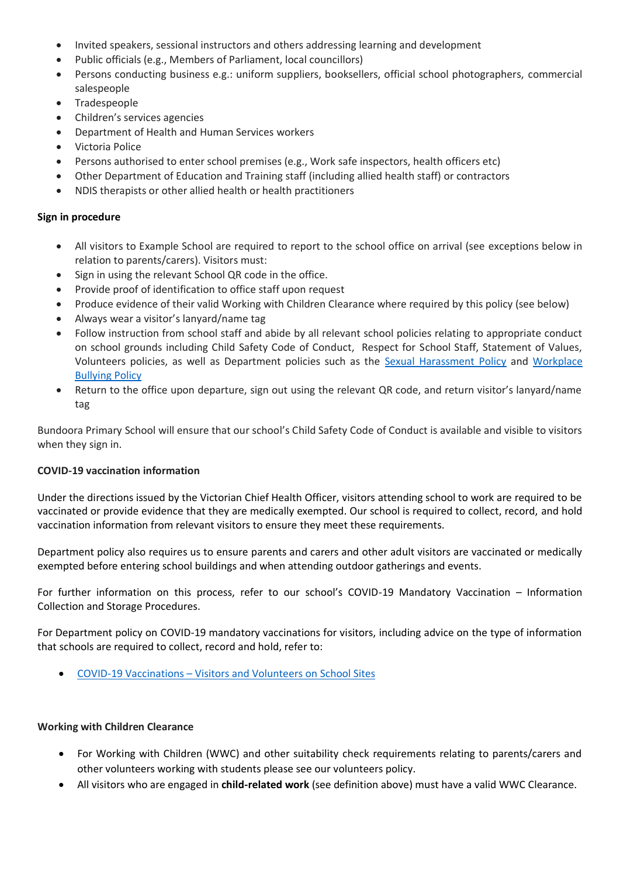- Invited speakers, sessional instructors and others addressing learning and development
- Public officials (e.g., Members of Parliament, local councillors)
- Persons conducting business e.g.: uniform suppliers, booksellers, official school photographers, commercial salespeople
- **Tradespeople**
- Children's services agencies
- Department of Health and Human Services workers
- Victoria Police
- Persons authorised to enter school premises (e.g., Work safe inspectors, health officers etc)
- Other Department of Education and Training staff (including allied health staff) or contractors
- NDIS therapists or other allied health or health practitioners

# **Sign in procedure**

- All visitors to Example School are required to report to the school office on arrival (see exceptions below in relation to parents/carers). Visitors must:
- Sign in using the relevant School QR code in the office.
- Provide proof of identification to office staff upon request
- Produce evidence of their valid Working with Children Clearance where required by this policy (see below)
- Always wear a visitor's lanyard/name tag
- Follow instruction from school staff and abide by all relevant school policies relating to appropriate conduct on school grounds including Child Safety Code of Conduct, Respect for School Staff, Statement of Values, Volunteers policies, as well as Department policies such as the [Sexual Harassment Policy](https://www2.education.vic.gov.au/pal/sexual-harassment/overview) and [Workplace](https://www2.education.vic.gov.au/pal/workplace-bullying/policy)  [Bullying Policy](https://www2.education.vic.gov.au/pal/workplace-bullying/policy)
- Return to the office upon departure, sign out using the relevant QR code, and return visitor's lanyard/name tag

Bundoora Primary School will ensure that our school's Child Safety Code of Conduct is available and visible to visitors when they sign in.

## **COVID-19 vaccination information**

Under the directions issued by the Victorian Chief Health Officer, visitors attending school to work are required to be vaccinated or provide evidence that they are medically exempted. Our school is required to collect, record, and hold vaccination information from relevant visitors to ensure they meet these requirements.

Department policy also requires us to ensure parents and carers and other adult visitors are vaccinated or medically exempted before entering school buildings and when attending outdoor gatherings and events.

For further information on this process, refer to our school's COVID-19 Mandatory Vaccination – Information Collection and Storage Procedures.

For Department policy on COVID-19 mandatory vaccinations for visitors, including advice on the type of information that schools are required to collect, record and hold, refer to:

• COVID-19 Vaccinations – [Visitors and Volunteers on School Sites](https://www2.education.vic.gov.au/pal/covid-19-vaccinations-visitors-volunteers/policy)

# **Working with Children Clearance**

- For Working with Children (WWC) and other suitability check requirements relating to parents/carers and other volunteers working with students please see our volunteers policy.
- All visitors who are engaged in **child-related work** (see definition above) must have a valid WWC Clearance.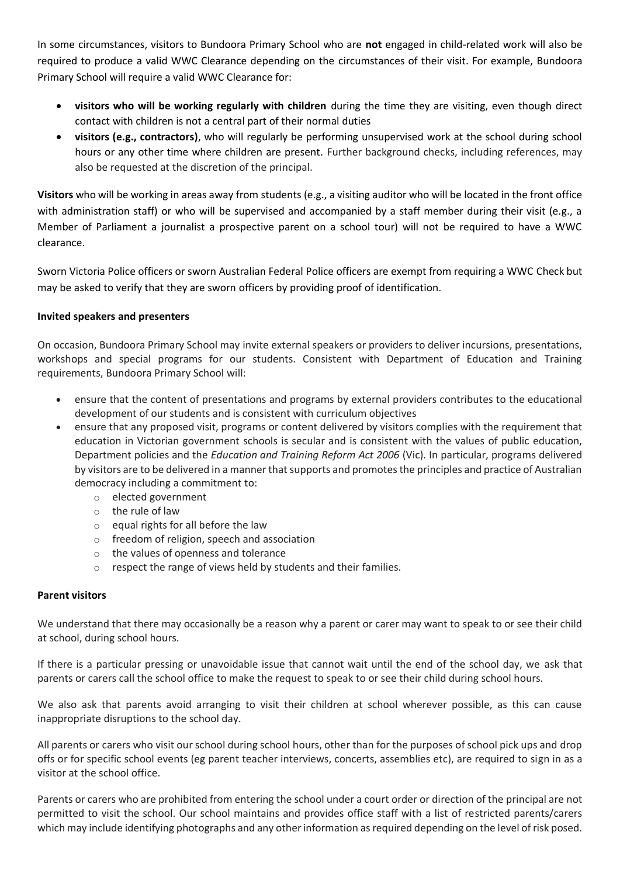In some circumstances, visitors to Bundoora Primary School who are **not** engaged in child-related work will also be required to produce a valid WWC Clearance depending on the circumstances of their visit. For example, Bundoora Primary School will require a valid WWC Clearance for:

- **visitors who will be working regularly with children** during the time they are visiting, even though direct contact with children is not a central part of their normal duties
- **visitors (e.g., contractors)**, who will regularly be performing unsupervised work at the school during school hours or any other time where children are present. Further background checks, including references, may also be requested at the discretion of the principal.

**Visitors** who will be working in areas away from students (e.g., a visiting auditor who will be located in the front office with administration staff) or who will be supervised and accompanied by a staff member during their visit (e.g., a Member of Parliament a journalist a prospective parent on a school tour) will not be required to have a WWC clearance.

Sworn Victoria Police officers or sworn Australian Federal Police officers are exempt from requiring a WWC Check but may be asked to verify that they are sworn officers by providing proof of identification.

# **Invited speakers and presenters**

On occasion, Bundoora Primary School may invite external speakers or providers to deliver incursions, presentations, workshops and special programs for our students. Consistent with Department of Education and Training requirements, Bundoora Primary School will:

- ensure that the content of presentations and programs by external providers contributes to the educational development of our students and is consistent with curriculum objectives
- ensure that any proposed visit, programs or content delivered by visitors complies with the requirement that education in Victorian government schools is secular and is consistent with the values of public education, Department policies and the *Education and Training Reform Act 2006* (Vic). In particular, programs delivered by visitors are to be delivered in a manner that supports and promotes the principles and practice of Australian democracy including a commitment to:
	- o elected government
	- o the rule of law
	- o equal rights for all before the law
	- o freedom of religion, speech and association
	- o the values of openness and tolerance
	- o respect the range of views held by students and their families.

# **Parent visitors**

We understand that there may occasionally be a reason why a parent or carer may want to speak to or see their child at school, during school hours.

If there is a particular pressing or unavoidable issue that cannot wait until the end of the school day, we ask that parents or carers call the school office to make the request to speak to or see their child during school hours.

We also ask that parents avoid arranging to visit their children at school wherever possible, as this can cause inappropriate disruptions to the school day.

All parents or carers who visit our school during school hours, other than for the purposes of school pick ups and drop offs or for specific school events (eg parent teacher interviews, concerts, assemblies etc), are required to sign in as a visitor at the school office.

Parents or carers who are prohibited from entering the school under a court order or direction of the principal are not permitted to visit the school. Our school maintains and provides office staff with a list of restricted parents/carers which may include identifying photographs and any other information as required depending on the level of risk posed.